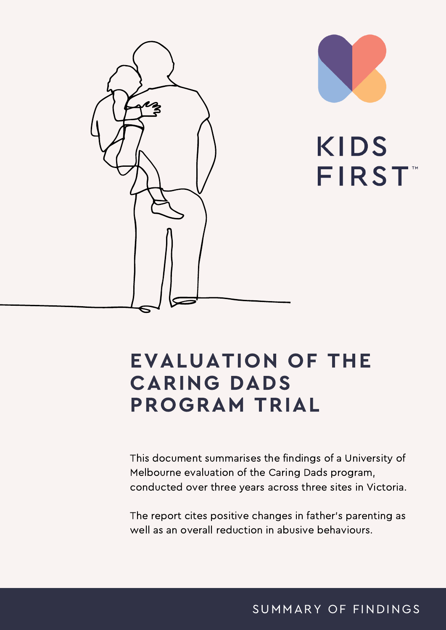

### EVALUATION OF THE CARING DADS PROGRAM TRIAL

This document summarises the findings of a University of Melbourne evaluation of the Caring Dads program, conducted over three years across three sites in Victoria.

The report cites positive changes in father's parenting as well as an overall reduction in abusive behaviours.

SUMMARY OF FINDINGS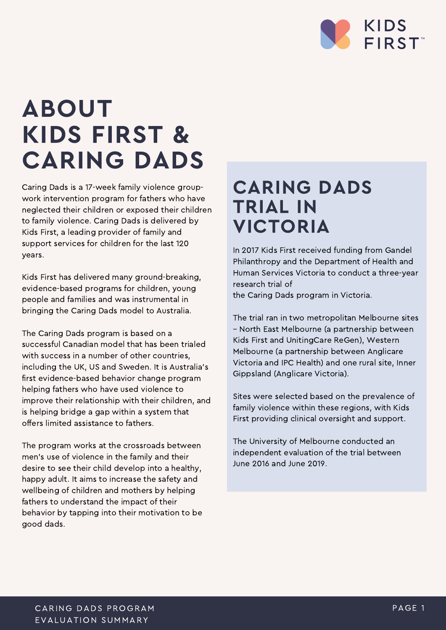

# ABOUT KIDS FIRST & CARING DADS

Caring Dads is a 17-week family violence groupwork intervention program for fathers who have neglected their children or exposed their children to family violence. Caring Dads is delivered by Kids First, a leading provider of family and support services for children for the last 120 years.

Kids First has delivered many ground-breaking, evidence-based programs for children, young people and families and was instrumental in bringing the Caring Dads model to Australia.

The Caring Dads program is based on a successful Canadian model that has been trialed with success in a number of other countries, including the UK, US and Sweden. It is Australia's first evidence-based behavior change program helping fathers who have used violence to improve their relationship with their children, and is helping bridge a gap within a system that offers limited assistance to fathers.

The program works at the crossroads between men's use of violence in the family and their desire to see their child develop into a healthy, happy adult. It aims to increase the safety and wellbeing of children and mothers by helping fathers to understand the impact of their behavior by tapping into their motivation to be good dads.

#### CARING DADS TRIAL IN VICTORIA

In 2017 Kids First received funding from Gandel Philanthropy and the Department of Health and Human Services Victoria to conduct a three-year research trial of

the Caring Dads program in Victoria.

The trial ran in two metropolitan Melbourne sites – North East Melbourne (a partnership between Kids First and UnitingCare ReGen), Western Melbourne (a partnership between Anglicare Victoria and IPC Health) and one rural site, Inner Gippsland (Anglicare Victoria).

Sites were selected based on the prevalence of family violence within these regions, with Kids First providing clinical oversight and support.

The University of Melbourne conducted an independent evaluation of the trial between June 2016 and June 2019.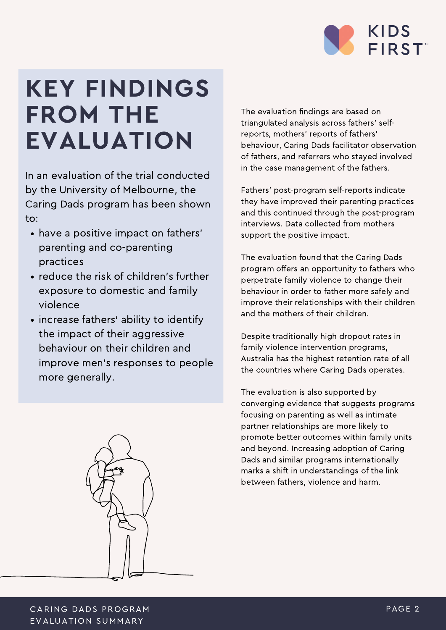

# KEY FINDINGS FROM THE EVALUATION

In an evaluation of the trial conducted by the University of Melbourne, the Caring Dads program has been shown to:

- have a positive impact on fathers' parenting and co-parenting practices
- reduce the risk of children's further exposure to domestic and family violence
- increase fathers' ability to identify the impact of their aggressive behaviour on their children and improve men's responses to people more generally.



The evaluation findings are based on triangulated analysis across fathers' selfreports, mothers' reports of fathers' behaviour, Caring Dads facilitator observation of fathers, and referrers who stayed involved in the case management of the fathers.

Fathers' post-program self-reports indicate they have improved their parenting practices and this continued through the post-program interviews. Data collected from mothers support the positive impact.

The evaluation found that the Caring Dads program offers an opportunity to fathers who perpetrate family violence to change their behaviour in order to father more safely and improve their relationships with their children and the mothers of their children.

Despite traditionally high dropout rates in family violence intervention programs, Australia has the highest retention rate of all the countries where Caring Dads operates.

The evaluation is also supported by converging evidence that suggests programs focusing on parenting as well as intimate partner relationships are more likely to promote better outcomes within family units and beyond. Increasing adoption of Caring Dads and similar programs internationally marks a shift in understandings of the link between fathers, violence and harm.